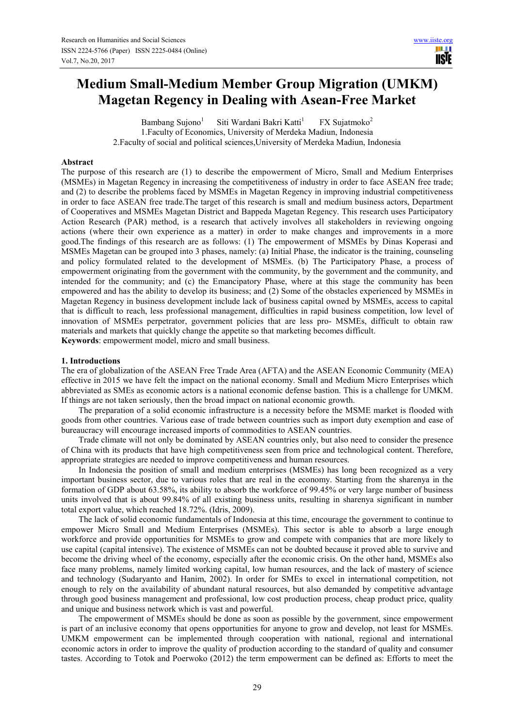# **Medium Small-Medium Member Group Migration (UMKM) Magetan Regency in Dealing with Asean-Free Market**

Bambang Sujono $<sup>1</sup>$ </sup> Siti Wardani Bakri Katti<sup>1</sup> FX Sujatmoko<sup>2</sup> 1.Faculty of Economics, University of Merdeka Madiun, Indonesia 2.Faculty of social and political sciences,University of Merdeka Madiun, Indonesia

#### **Abstract**

The purpose of this research are (1) to describe the empowerment of Micro, Small and Medium Enterprises (MSMEs) in Magetan Regency in increasing the competitiveness of industry in order to face ASEAN free trade; and (2) to describe the problems faced by MSMEs in Magetan Regency in improving industrial competitiveness in order to face ASEAN free trade.The target of this research is small and medium business actors, Department of Cooperatives and MSMEs Magetan District and Bappeda Magetan Regency. This research uses Participatory Action Research (PAR) method, is a research that actively involves all stakeholders in reviewing ongoing actions (where their own experience as a matter) in order to make changes and improvements in a more good.The findings of this research are as follows: (1) The empowerment of MSMEs by Dinas Koperasi and MSMEs Magetan can be grouped into 3 phases, namely: (a) Initial Phase, the indicator is the training, counseling and policy formulated related to the development of MSMEs. (b) The Participatory Phase, a process of empowerment originating from the government with the community, by the government and the community, and intended for the community; and (c) the Emancipatory Phase, where at this stage the community has been empowered and has the ability to develop its business; and (2) Some of the obstacles experienced by MSMEs in Magetan Regency in business development include lack of business capital owned by MSMEs, access to capital that is difficult to reach, less professional management, difficulties in rapid business competition, low level of innovation of MSMEs perpetrator, government policies that are less pro- MSMEs, difficult to obtain raw materials and markets that quickly change the appetite so that marketing becomes difficult. **Keywords**: empowerment model, micro and small business.

#### **1. Introductions**

The era of globalization of the ASEAN Free Trade Area (AFTA) and the ASEAN Economic Community (MEA) effective in 2015 we have felt the impact on the national economy. Small and Medium Micro Enterprises which abbreviated as SMEs as economic actors is a national economic defense bastion. This is a challenge for UMKM. If things are not taken seriously, then the broad impact on national economic growth.

The preparation of a solid economic infrastructure is a necessity before the MSME market is flooded with goods from other countries. Various ease of trade between countries such as import duty exemption and ease of bureaucracy will encourage increased imports of commodities to ASEAN countries.

Trade climate will not only be dominated by ASEAN countries only, but also need to consider the presence of China with its products that have high competitiveness seen from price and technological content. Therefore, appropriate strategies are needed to improve competitiveness and human resources.

In Indonesia the position of small and medium enterprises (MSMEs) has long been recognized as a very important business sector, due to various roles that are real in the economy. Starting from the sharenya in the formation of GDP about 63.58%, its ability to absorb the workforce of 99.45% or very large number of business units involved that is about 99.84% of all existing business units, resulting in sharenya significant in number total export value, which reached 18.72%. (Idris, 2009).

The lack of solid economic fundamentals of Indonesia at this time, encourage the government to continue to empower Micro Small and Medium Enterprises (MSMEs). This sector is able to absorb a large enough workforce and provide opportunities for MSMEs to grow and compete with companies that are more likely to use capital (capital intensive). The existence of MSMEs can not be doubted because it proved able to survive and become the driving wheel of the economy, especially after the economic crisis. On the other hand, MSMEs also face many problems, namely limited working capital, low human resources, and the lack of mastery of science and technology (Sudaryanto and Hanim, 2002). In order for SMEs to excel in international competition, not enough to rely on the availability of abundant natural resources, but also demanded by competitive advantage through good business management and professional, low cost production process, cheap product price, quality and unique and business network which is vast and powerful.

The empowerment of MSMEs should be done as soon as possible by the government, since empowerment is part of an inclusive economy that opens opportunities for anyone to grow and develop, not least for MSMEs. UMKM empowerment can be implemented through cooperation with national, regional and international economic actors in order to improve the quality of production according to the standard of quality and consumer tastes. According to Totok and Poerwoko (2012) the term empowerment can be defined as: Efforts to meet the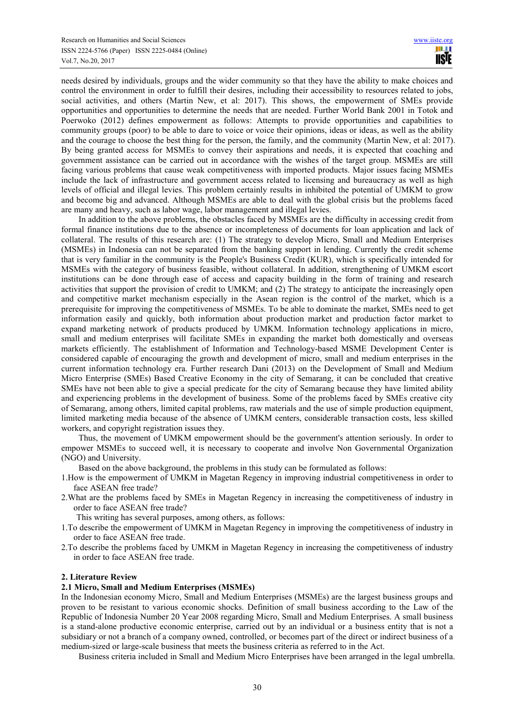needs desired by individuals, groups and the wider community so that they have the ability to make choices and control the environment in order to fulfill their desires, including their accessibility to resources related to jobs, social activities, and others (Martin New, et al: 2017). This shows, the empowerment of SMEs provide opportunities and opportunities to determine the needs that are needed. Further World Bank 2001 in Totok and Poerwoko (2012) defines empowerment as follows: Attempts to provide opportunities and capabilities to community groups (poor) to be able to dare to voice or voice their opinions, ideas or ideas, as well as the ability and the courage to choose the best thing for the person, the family, and the community (Martin New, et al: 2017). By being granted access for MSMEs to convey their aspirations and needs, it is expected that coaching and government assistance can be carried out in accordance with the wishes of the target group. MSMEs are still facing various problems that cause weak competitiveness with imported products. Major issues facing MSMEs include the lack of infrastructure and government access related to licensing and bureaucracy as well as high levels of official and illegal levies. This problem certainly results in inhibited the potential of UMKM to grow and become big and advanced. Although MSMEs are able to deal with the global crisis but the problems faced are many and heavy, such as labor wage, labor management and illegal levies.

In addition to the above problems, the obstacles faced by MSMEs are the difficulty in accessing credit from formal finance institutions due to the absence or incompleteness of documents for loan application and lack of collateral. The results of this research are: (1) The strategy to develop Micro, Small and Medium Enterprises (MSMEs) in Indonesia can not be separated from the banking support in lending. Currently the credit scheme that is very familiar in the community is the People's Business Credit (KUR), which is specifically intended for MSMEs with the category of business feasible, without collateral. In addition, strengthening of UMKM escort institutions can be done through ease of access and capacity building in the form of training and research activities that support the provision of credit to UMKM; and (2) The strategy to anticipate the increasingly open and competitive market mechanism especially in the Asean region is the control of the market, which is a prerequisite for improving the competitiveness of MSMEs. To be able to dominate the market, SMEs need to get information easily and quickly, both information about production market and production factor market to expand marketing network of products produced by UMKM. Information technology applications in micro, small and medium enterprises will facilitate SMEs in expanding the market both domestically and overseas markets efficiently. The establishment of Information and Technology-based MSME Development Center is considered capable of encouraging the growth and development of micro, small and medium enterprises in the current information technology era. Further research Dani (2013) on the Development of Small and Medium Micro Enterprise (SMEs) Based Creative Economy in the city of Semarang, it can be concluded that creative SMEs have not been able to give a special predicate for the city of Semarang because they have limited ability and experiencing problems in the development of business. Some of the problems faced by SMEs creative city of Semarang, among others, limited capital problems, raw materials and the use of simple production equipment, limited marketing media because of the absence of UMKM centers, considerable transaction costs, less skilled workers, and copyright registration issues they.

Thus, the movement of UMKM empowerment should be the government's attention seriously. In order to empower MSMEs to succeed well, it is necessary to cooperate and involve Non Governmental Organization (NGO) and University.

Based on the above background, the problems in this study can be formulated as follows:

1.How is the empowerment of UMKM in Magetan Regency in improving industrial competitiveness in order to face ASEAN free trade?

2.What are the problems faced by SMEs in Magetan Regency in increasing the competitiveness of industry in order to face ASEAN free trade?

This writing has several purposes, among others, as follows:

- 1.To describe the empowerment of UMKM in Magetan Regency in improving the competitiveness of industry in order to face ASEAN free trade.
- 2.To describe the problems faced by UMKM in Magetan Regency in increasing the competitiveness of industry in order to face ASEAN free trade.

#### **2. Literature Review**

#### **2.1 Micro, Small and Medium Enterprises (MSMEs)**

In the Indonesian economy Micro, Small and Medium Enterprises (MSMEs) are the largest business groups and proven to be resistant to various economic shocks. Definition of small business according to the Law of the Republic of Indonesia Number 20 Year 2008 regarding Micro, Small and Medium Enterprises. A small business is a stand-alone productive economic enterprise, carried out by an individual or a business entity that is not a subsidiary or not a branch of a company owned, controlled, or becomes part of the direct or indirect business of a medium-sized or large-scale business that meets the business criteria as referred to in the Act.

Business criteria included in Small and Medium Micro Enterprises have been arranged in the legal umbrella.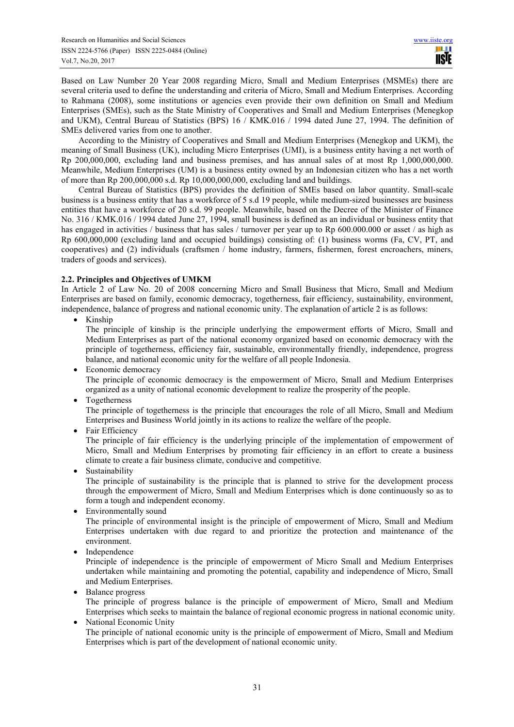Based on Law Number 20 Year 2008 regarding Micro, Small and Medium Enterprises (MSMEs) there are several criteria used to define the understanding and criteria of Micro, Small and Medium Enterprises. According to Rahmana (2008), some institutions or agencies even provide their own definition on Small and Medium Enterprises (SMEs), such as the State Ministry of Cooperatives and Small and Medium Enterprises (Menegkop and UKM), Central Bureau of Statistics (BPS) 16 / KMK.016 / 1994 dated June 27, 1994. The definition of SMEs delivered varies from one to another.

According to the Ministry of Cooperatives and Small and Medium Enterprises (Menegkop and UKM), the meaning of Small Business (UK), including Micro Enterprises (UMI), is a business entity having a net worth of Rp 200,000,000, excluding land and business premises, and has annual sales of at most Rp 1,000,000,000. Meanwhile, Medium Enterprises (UM) is a business entity owned by an Indonesian citizen who has a net worth of more than Rp 200,000,000 s.d. Rp 10,000,000,000, excluding land and buildings.

Central Bureau of Statistics (BPS) provides the definition of SMEs based on labor quantity. Small-scale business is a business entity that has a workforce of 5 s.d 19 people, while medium-sized businesses are business entities that have a workforce of 20 s.d. 99 people. Meanwhile, based on the Decree of the Minister of Finance No. 316 / KMK.016 / 1994 dated June 27, 1994, small business is defined as an individual or business entity that has engaged in activities / business that has sales / turnover per year up to Rp 600.000.000 or asset / as high as Rp 600,000,000 (excluding land and occupied buildings) consisting of: (1) business worms (Fa, CV, PT, and cooperatives) and (2) individuals (craftsmen / home industry, farmers, fishermen, forest encroachers, miners, traders of goods and services).

# **2.2. Principles and Objectives of UMKM**

In Article 2 of Law No. 20 of 2008 concerning Micro and Small Business that Micro, Small and Medium Enterprises are based on family, economic democracy, togetherness, fair efficiency, sustainability, environment, independence, balance of progress and national economic unity. The explanation of article 2 is as follows:

• Kinship

The principle of kinship is the principle underlying the empowerment efforts of Micro, Small and Medium Enterprises as part of the national economy organized based on economic democracy with the principle of togetherness, efficiency fair, sustainable, environmentally friendly, independence, progress balance, and national economic unity for the welfare of all people Indonesia.

- Economic democracy The principle of economic democracy is the empowerment of Micro, Small and Medium Enterprises organized as a unity of national economic development to realize the prosperity of the people.
- Togetherness

The principle of togetherness is the principle that encourages the role of all Micro, Small and Medium Enterprises and Business World jointly in its actions to realize the welfare of the people.

• Fair Efficiency

The principle of fair efficiency is the underlying principle of the implementation of empowerment of Micro, Small and Medium Enterprises by promoting fair efficiency in an effort to create a business climate to create a fair business climate, conducive and competitive.

**Sustainability** 

The principle of sustainability is the principle that is planned to strive for the development process through the empowerment of Micro, Small and Medium Enterprises which is done continuously so as to form a tough and independent economy.

Environmentally sound

The principle of environmental insight is the principle of empowerment of Micro, Small and Medium Enterprises undertaken with due regard to and prioritize the protection and maintenance of the environment.

**Independence** 

Principle of independence is the principle of empowerment of Micro Small and Medium Enterprises undertaken while maintaining and promoting the potential, capability and independence of Micro, Small and Medium Enterprises.

Balance progress

The principle of progress balance is the principle of empowerment of Micro, Small and Medium Enterprises which seeks to maintain the balance of regional economic progress in national economic unity.

• National Economic Unity The principle of national economic unity is the principle of empowerment of Micro, Small and Medium Enterprises which is part of the development of national economic unity.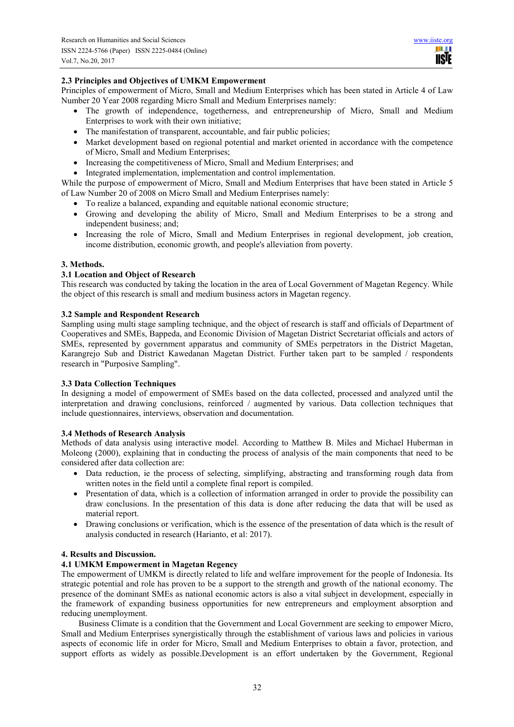HH I **TISIE** 

# **2.3 Principles and Objectives of UMKM Empowerment**

Principles of empowerment of Micro, Small and Medium Enterprises which has been stated in Article 4 of Law Number 20 Year 2008 regarding Micro Small and Medium Enterprises namely:

- The growth of independence, togetherness, and entrepreneurship of Micro, Small and Medium Enterprises to work with their own initiative;
- The manifestation of transparent, accountable, and fair public policies;
- Market development based on regional potential and market oriented in accordance with the competence of Micro, Small and Medium Enterprises;
- Increasing the competitiveness of Micro, Small and Medium Enterprises; and
- Integrated implementation, implementation and control implementation.

While the purpose of empowerment of Micro, Small and Medium Enterprises that have been stated in Article 5 of Law Number 20 of 2008 on Micro Small and Medium Enterprises namely:

- To realize a balanced, expanding and equitable national economic structure;
- Growing and developing the ability of Micro, Small and Medium Enterprises to be a strong and independent business; and;
- Increasing the role of Micro, Small and Medium Enterprises in regional development, job creation, income distribution, economic growth, and people's alleviation from poverty.

## **3. Methods.**

## **3.1 Location and Object of Research**

This research was conducted by taking the location in the area of Local Government of Magetan Regency. While the object of this research is small and medium business actors in Magetan regency.

## **3.2 Sample and Respondent Research**

Sampling using multi stage sampling technique, and the object of research is staff and officials of Department of Cooperatives and SMEs, Bappeda, and Economic Division of Magetan District Secretariat officials and actors of SMEs, represented by government apparatus and community of SMEs perpetrators in the District Magetan, Karangrejo Sub and District Kawedanan Magetan District. Further taken part to be sampled / respondents research in "Purposive Sampling".

## **3.3 Data Collection Techniques**

In designing a model of empowerment of SMEs based on the data collected, processed and analyzed until the interpretation and drawing conclusions, reinforced / augmented by various. Data collection techniques that include questionnaires, interviews, observation and documentation.

## **3.4 Methods of Research Analysis**

Methods of data analysis using interactive model. According to Matthew B. Miles and Michael Huberman in Moleong (2000), explaining that in conducting the process of analysis of the main components that need to be considered after data collection are:

- Data reduction, ie the process of selecting, simplifying, abstracting and transforming rough data from written notes in the field until a complete final report is compiled.
- Presentation of data, which is a collection of information arranged in order to provide the possibility can draw conclusions. In the presentation of this data is done after reducing the data that will be used as material report.
- Drawing conclusions or verification, which is the essence of the presentation of data which is the result of analysis conducted in research (Harianto, et al: 2017).

## **4. Results and Discussion.**

# **4.1 UMKM Empowerment in Magetan Regency**

The empowerment of UMKM is directly related to life and welfare improvement for the people of Indonesia. Its strategic potential and role has proven to be a support to the strength and growth of the national economy. The presence of the dominant SMEs as national economic actors is also a vital subject in development, especially in the framework of expanding business opportunities for new entrepreneurs and employment absorption and reducing unemployment.

Business Climate is a condition that the Government and Local Government are seeking to empower Micro, Small and Medium Enterprises synergistically through the establishment of various laws and policies in various aspects of economic life in order for Micro, Small and Medium Enterprises to obtain a favor, protection, and support efforts as widely as possible.Development is an effort undertaken by the Government, Regional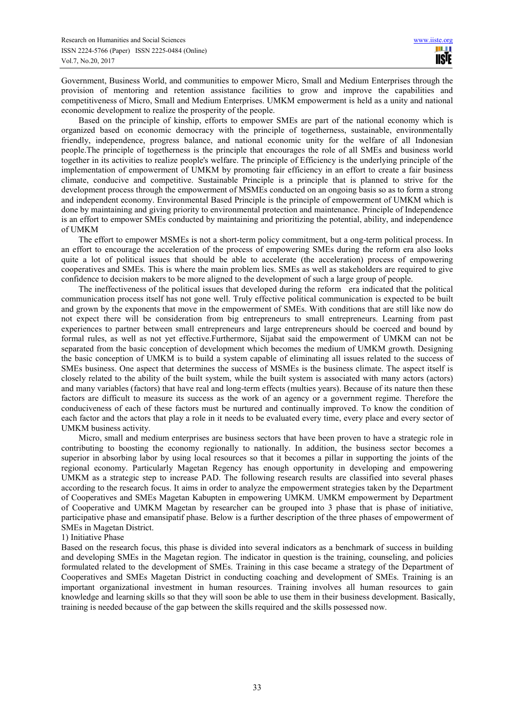Government, Business World, and communities to empower Micro, Small and Medium Enterprises through the provision of mentoring and retention assistance facilities to grow and improve the capabilities and competitiveness of Micro, Small and Medium Enterprises. UMKM empowerment is held as a unity and national economic development to realize the prosperity of the people.

Based on the principle of kinship, efforts to empower SMEs are part of the national economy which is organized based on economic democracy with the principle of togetherness, sustainable, environmentally friendly, independence, progress balance, and national economic unity for the welfare of all Indonesian people.The principle of togetherness is the principle that encourages the role of all SMEs and business world together in its activities to realize people's welfare. The principle of Efficiency is the underlying principle of the implementation of empowerment of UMKM by promoting fair efficiency in an effort to create a fair business climate, conducive and competitive. Sustainable Principle is a principle that is planned to strive for the development process through the empowerment of MSMEs conducted on an ongoing basis so as to form a strong and independent economy. Environmental Based Principle is the principle of empowerment of UMKM which is done by maintaining and giving priority to environmental protection and maintenance. Principle of Independence is an effort to empower SMEs conducted by maintaining and prioritizing the potential, ability, and independence of UMKM

The effort to empower MSMEs is not a short-term policy commitment, but a ong-term political process. In an effort to encourage the acceleration of the process of empowering SMEs during the reform era also looks quite a lot of political issues that should be able to accelerate (the acceleration) process of empowering cooperatives and SMEs. This is where the main problem lies. SMEs as well as stakeholders are required to give confidence to decision makers to be more aligned to the development of such a large group of people.

The ineffectiveness of the political issues that developed during the reform era indicated that the political communication process itself has not gone well. Truly effective political communication is expected to be built and grown by the exponents that move in the empowerment of SMEs. With conditions that are still like now do not expect there will be consideration from big entrepreneurs to small entrepreneurs. Learning from past experiences to partner between small entrepreneurs and large entrepreneurs should be coerced and bound by formal rules, as well as not yet effective.Furthermore, Sijabat said the empowerment of UMKM can not be separated from the basic conception of development which becomes the medium of UMKM growth. Designing the basic conception of UMKM is to build a system capable of eliminating all issues related to the success of SMEs business. One aspect that determines the success of MSMEs is the business climate. The aspect itself is closely related to the ability of the built system, while the built system is associated with many actors (actors) and many variables (factors) that have real and long-term effects (multies years). Because of its nature then these factors are difficult to measure its success as the work of an agency or a government regime. Therefore the conduciveness of each of these factors must be nurtured and continually improved. To know the condition of each factor and the actors that play a role in it needs to be evaluated every time, every place and every sector of UMKM business activity.

Micro, small and medium enterprises are business sectors that have been proven to have a strategic role in contributing to boosting the economy regionally to nationally. In addition, the business sector becomes a superior in absorbing labor by using local resources so that it becomes a pillar in supporting the joints of the regional economy. Particularly Magetan Regency has enough opportunity in developing and empowering UMKM as a strategic step to increase PAD. The following research results are classified into several phases according to the research focus. It aims in order to analyze the empowerment strategies taken by the Department of Cooperatives and SMEs Magetan Kabupten in empowering UMKM. UMKM empowerment by Department of Cooperative and UMKM Magetan by researcher can be grouped into 3 phase that is phase of initiative, participative phase and emansipatif phase. Below is a further description of the three phases of empowerment of SMEs in Magetan District.

#### 1) Initiative Phase

Based on the research focus, this phase is divided into several indicators as a benchmark of success in building and developing SMEs in the Magetan region. The indicator in question is the training, counseling, and policies formulated related to the development of SMEs. Training in this case became a strategy of the Department of Cooperatives and SMEs Magetan District in conducting coaching and development of SMEs. Training is an important organizational investment in human resources. Training involves all human resources to gain knowledge and learning skills so that they will soon be able to use them in their business development. Basically, training is needed because of the gap between the skills required and the skills possessed now.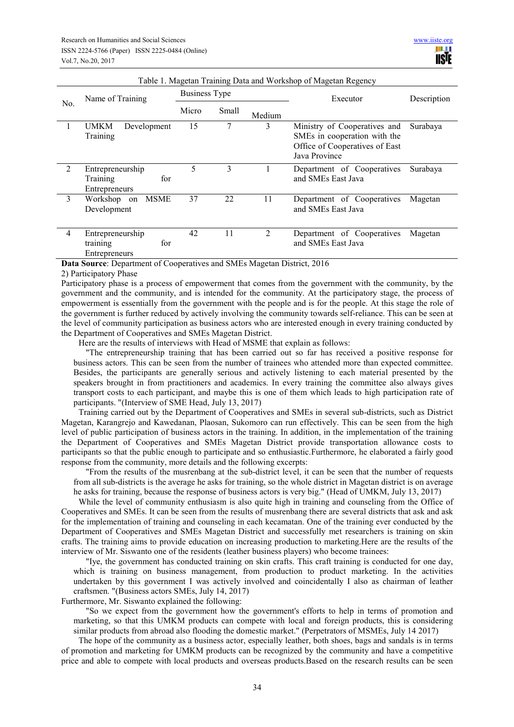| Table T. Magetan Training Data and Workshop of Magetan Regency |                                                      |                      |       |                |                                                                                                                 |             |
|----------------------------------------------------------------|------------------------------------------------------|----------------------|-------|----------------|-----------------------------------------------------------------------------------------------------------------|-------------|
| No.                                                            | Name of Training                                     | <b>Business Type</b> |       |                | Executor                                                                                                        | Description |
|                                                                |                                                      | Micro                | Small | Medium         |                                                                                                                 |             |
|                                                                | <b>UMKM</b><br>Development<br>Training               | 15                   | 7     | 3              | Ministry of Cooperatives and<br>SMEs in cooperation with the<br>Office of Cooperatives of East<br>Java Province | Surabaya    |
| 2                                                              | Entrepreneurship<br>for<br>Training<br>Entrepreneurs | 5                    | 3     |                | Department of Cooperatives<br>and SMEs East Java                                                                | Surabaya    |
| 3                                                              | Workshop on<br><b>MSME</b><br>Development            | 37                   | 22    | 11             | Department of Cooperatives<br>and SMEs East Java                                                                | Magetan     |
| $\overline{4}$                                                 | Entrepreneurship<br>for<br>training<br>Entrepreneurs | 42                   | 11    | $\mathfrak{D}$ | Department of Cooperatives<br>and SMEs East Java                                                                | Magetan     |

Table 1. Magetan Training Data and Workshop of Magetan Regency

**Data Source**: Department of Cooperatives and SMEs Magetan District, 2016

#### 2) Participatory Phase

Participatory phase is a process of empowerment that comes from the government with the community, by the government and the community, and is intended for the community. At the participatory stage, the process of empowerment is essentially from the government with the people and is for the people. At this stage the role of the government is further reduced by actively involving the community towards self-reliance. This can be seen at the level of community participation as business actors who are interested enough in every training conducted by the Department of Cooperatives and SMEs Magetan District.

Here are the results of interviews with Head of MSME that explain as follows:

"The entrepreneurship training that has been carried out so far has received a positive response for business actors. This can be seen from the number of trainees who attended more than expected committee. Besides, the participants are generally serious and actively listening to each material presented by the speakers brought in from practitioners and academics. In every training the committee also always gives transport costs to each participant, and maybe this is one of them which leads to high participation rate of participants. "(Interview of SME Head, July 13, 2017)

Training carried out by the Department of Cooperatives and SMEs in several sub-districts, such as District Magetan, Karangrejo and Kawedanan, Plaosan, Sukomoro can run effectively. This can be seen from the high level of public participation of business actors in the training. In addition, in the implementation of the training the Department of Cooperatives and SMEs Magetan District provide transportation allowance costs to participants so that the public enough to participate and so enthusiastic.Furthermore, he elaborated a fairly good response from the community, more details and the following excerpts:

"From the results of the musrenbang at the sub-district level, it can be seen that the number of requests from all sub-districts is the average he asks for training, so the whole district in Magetan district is on average he asks for training, because the response of business actors is very big." (Head of UMKM, July 13, 2017)

While the level of community enthusiasm is also quite high in training and counseling from the Office of Cooperatives and SMEs. It can be seen from the results of musrenbang there are several districts that ask and ask for the implementation of training and counseling in each kecamatan. One of the training ever conducted by the Department of Cooperatives and SMEs Magetan District and successfully met researchers is training on skin crafts. The training aims to provide education on increasing production to marketing.Here are the results of the interview of Mr. Siswanto one of the residents (leather business players) who become trainees:

"Iye, the government has conducted training on skin crafts. This craft training is conducted for one day, which is training on business management, from production to product marketing. In the activities undertaken by this government I was actively involved and coincidentally I also as chairman of leather craftsmen. "(Business actors SMEs, July 14, 2017)

Furthermore, Mr. Siswanto explained the following:

"So we expect from the government how the government's efforts to help in terms of promotion and marketing, so that this UMKM products can compete with local and foreign products, this is considering similar products from abroad also flooding the domestic market." (Perpetrators of MSMEs, July 14 2017)

The hope of the community as a business actor, especially leather, both shoes, bags and sandals is in terms of promotion and marketing for UMKM products can be recognized by the community and have a competitive price and able to compete with local products and overseas products.Based on the research results can be seen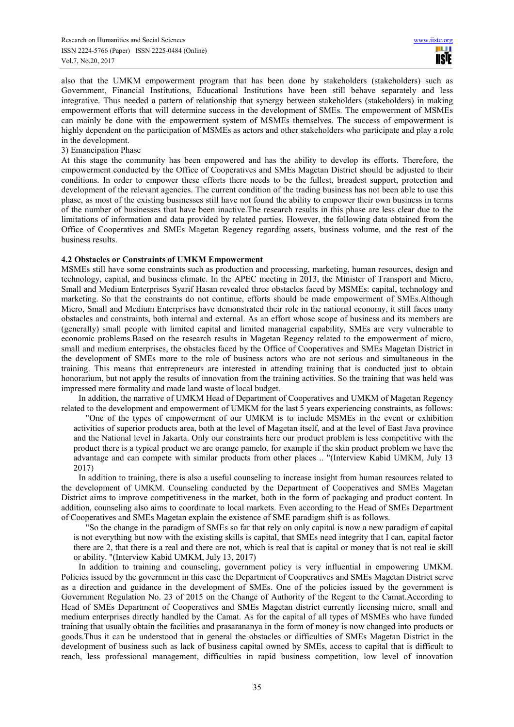also that the UMKM empowerment program that has been done by stakeholders (stakeholders) such as Government, Financial Institutions, Educational Institutions have been still behave separately and less integrative. Thus needed a pattern of relationship that synergy between stakeholders (stakeholders) in making empowerment efforts that will determine success in the development of SMEs. The empowerment of MSMEs can mainly be done with the empowerment system of MSMEs themselves. The success of empowerment is highly dependent on the participation of MSMEs as actors and other stakeholders who participate and play a role in the development.

3) Emancipation Phase

At this stage the community has been empowered and has the ability to develop its efforts. Therefore, the empowerment conducted by the Office of Cooperatives and SMEs Magetan District should be adjusted to their conditions. In order to empower these efforts there needs to be the fullest, broadest support, protection and development of the relevant agencies. The current condition of the trading business has not been able to use this phase, as most of the existing businesses still have not found the ability to empower their own business in terms of the number of businesses that have been inactive.The research results in this phase are less clear due to the limitations of information and data provided by related parties. However, the following data obtained from the Office of Cooperatives and SMEs Magetan Regency regarding assets, business volume, and the rest of the business results.

#### **4.2 Obstacles or Constraints of UMKM Empowerment**

MSMEs still have some constraints such as production and processing, marketing, human resources, design and technology, capital, and business climate. In the APEC meeting in 2013, the Minister of Transport and Micro, Small and Medium Enterprises Syarif Hasan revealed three obstacles faced by MSMEs: capital, technology and marketing. So that the constraints do not continue, efforts should be made empowerment of SMEs.Although Micro, Small and Medium Enterprises have demonstrated their role in the national economy, it still faces many obstacles and constraints, both internal and external. As an effort whose scope of business and its members are (generally) small people with limited capital and limited managerial capability, SMEs are very vulnerable to economic problems.Based on the research results in Magetan Regency related to the empowerment of micro, small and medium enterprises, the obstacles faced by the Office of Cooperatives and SMEs Magetan District in the development of SMEs more to the role of business actors who are not serious and simultaneous in the training. This means that entrepreneurs are interested in attending training that is conducted just to obtain honorarium, but not apply the results of innovation from the training activities. So the training that was held was impressed mere formality and made land waste of local budget.

In addition, the narrative of UMKM Head of Department of Cooperatives and UMKM of Magetan Regency related to the development and empowerment of UMKM for the last 5 years experiencing constraints, as follows:

"One of the types of empowerment of our UMKM is to include MSMEs in the event or exhibition activities of superior products area, both at the level of Magetan itself, and at the level of East Java province and the National level in Jakarta. Only our constraints here our product problem is less competitive with the product there is a typical product we are orange pamelo, for example if the skin product problem we have the advantage and can compete with similar products from other places .. "(Interview Kabid UMKM, July 13 2017)

In addition to training, there is also a useful counseling to increase insight from human resources related to the development of UMKM. Counseling conducted by the Department of Cooperatives and SMEs Magetan District aims to improve competitiveness in the market, both in the form of packaging and product content. In addition, counseling also aims to coordinate to local markets. Even according to the Head of SMEs Department of Cooperatives and SMEs Magetan explain the existence of SME paradigm shift is as follows.

"So the change in the paradigm of SMEs so far that rely on only capital is now a new paradigm of capital is not everything but now with the existing skills is capital, that SMEs need integrity that I can, capital factor there are 2, that there is a real and there are not, which is real that is capital or money that is not real ie skill or ability. "(Interview Kabid UMKM, July 13, 2017)

In addition to training and counseling, government policy is very influential in empowering UMKM. Policies issued by the government in this case the Department of Cooperatives and SMEs Magetan District serve as a direction and guidance in the development of SMEs. One of the policies issued by the government is Government Regulation No. 23 of 2015 on the Change of Authority of the Regent to the Camat.According to Head of SMEs Department of Cooperatives and SMEs Magetan district currently licensing micro, small and medium enterprises directly handled by the Camat. As for the capital of all types of MSMEs who have funded training that usually obtain the facilities and prasarananya in the form of money is now changed into products or goods.Thus it can be understood that in general the obstacles or difficulties of SMEs Magetan District in the development of business such as lack of business capital owned by SMEs, access to capital that is difficult to reach, less professional management, difficulties in rapid business competition, low level of innovation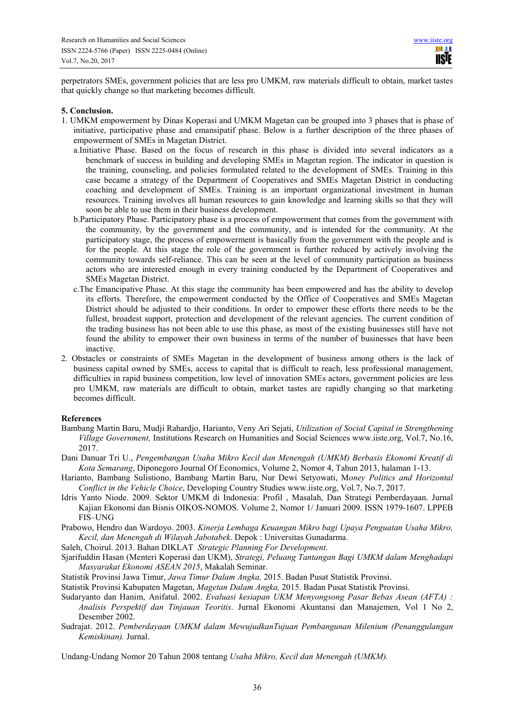perpetrators SMEs, government policies that are less pro UMKM, raw materials difficult to obtain, market tastes that quickly change so that marketing becomes difficult.

#### **5. Conclusion.**

- 1. UMKM empowerment by Dinas Koperasi and UMKM Magetan can be grouped into 3 phases that is phase of initiative, participative phase and emansipatif phase. Below is a further description of the three phases of empowerment of SMEs in Magetan District.
	- a.Initiative Phase. Based on the focus of research in this phase is divided into several indicators as a benchmark of success in building and developing SMEs in Magetan region. The indicator in question is the training, counseling, and policies formulated related to the development of SMEs. Training in this case became a strategy of the Department of Cooperatives and SMEs Magetan District in conducting coaching and development of SMEs. Training is an important organizational investment in human resources. Training involves all human resources to gain knowledge and learning skills so that they will soon be able to use them in their business development.
	- b.Participatory Phase. Participatory phase is a process of empowerment that comes from the government with the community, by the government and the community, and is intended for the community. At the participatory stage, the process of empowerment is basically from the government with the people and is for the people. At this stage the role of the government is further reduced by actively involving the community towards self-reliance. This can be seen at the level of community participation as business actors who are interested enough in every training conducted by the Department of Cooperatives and SMEs Magetan District.
	- c.The Emancipative Phase. At this stage the community has been empowered and has the ability to develop its efforts. Therefore, the empowerment conducted by the Office of Cooperatives and SMEs Magetan District should be adjusted to their conditions. In order to empower these efforts there needs to be the fullest, broadest support, protection and development of the relevant agencies. The current condition of the trading business has not been able to use this phase, as most of the existing businesses still have not found the ability to empower their own business in terms of the number of businesses that have been inactive.
- 2. Obstacles or constraints of SMEs Magetan in the development of business among others is the lack of business capital owned by SMEs, access to capital that is difficult to reach, less professional management, difficulties in rapid business competition, low level of innovation SMEs actors, government policies are less pro UMKM, raw materials are difficult to obtain, market tastes are rapidly changing so that marketing becomes difficult.

#### **References**

- Bambang Martin Baru, Mudji Rahardjo, Harianto, Veny Ari Sejati, *Utilization of Social Capital in Strengthening Village Government,* Institutions Research on Humanities and Social Sciences www.iiste.org, Vol.7, No.16, 2017.
- Dani Danuar Tri U., *Pengembangan Usaha Mikro Kecil dan Menengah (UMKM) Berbasis Ekonomi Kreatif di Kota Semarang*, Diponegoro Journal Of Economics, Volume 2, Nomor 4, Tahun 2013, halaman 1-13.
- Harianto, Bambang Sulistiono, Bambang Martin Baru, Nur Dewi Setyowati, M*oney Politics and Horizontal Conflict in the Vehicle Choice*, Developing Country Studies www.iiste.org, Vol.7, No.7, 2017.
- Idris Yanto Niode. 2009. Sektor UMKM di Indonesia: Profil , Masalah, Dan Strategi Pemberdayaan. Jurnal Kajian Ekonomi dan Bisnis OIKOS-NOMOS. Volume 2, Nomor 1/ Januari 2009. ISSN 1979-1607. LPPEB FIS–UNG
- Prabowo, Hendro dan Wardoyo. 2003. *Kinerja Lembaga Keuangan Mikro bagi Upaya Penguatan Usaha Mikro, Kecil, dan Menengah di Wilayah Jabotabek*. Depok : Universitas Gunadarma.
- Saleh, Choirul. 2013. Bahan DIKLAT *Strategic Planning For Development*.
- Sjarifuddin Hasan (Menteri Koperasi dan UKM), *Strategi, Peluang Tantangan Bagi UMKM dalam Menghadapi Masyarakat Ekonomi ASEAN 2015*, Makalah Seminar.
- Statistik Provinsi Jawa Timur, *Jawa Timur Dalam Angka,* 2015. Badan Pusat Statistik Provinsi.
- Statistik Provinsi Kabupaten Magetan, *Magetan Dalam Angka,* 2015. Badan Pusat Statistik Provinsi.
- Sudaryanto dan Hanim, Anifatul. 2002. *Evaluasi kesiapan UKM Menyongsong Pasar Bebas Asean (AFTA) : Analisis Perspektif dan Tinjauan Teoritis*. Jurnal Ekonomi Akuntansi dan Manajemen, Vol 1 No 2, Desember 2002.
- Sudrajat. 2012. *Pemberdayaan UMKM dalam MewujudkanTujuan Pembangunan Milenium (Penanggulangan Kemiskinan).* Jurnal.

Undang-Undang Nomor 20 Tahun 2008 tentang *Usaha Mikro, Kecil dan Menengah (UMKM).*